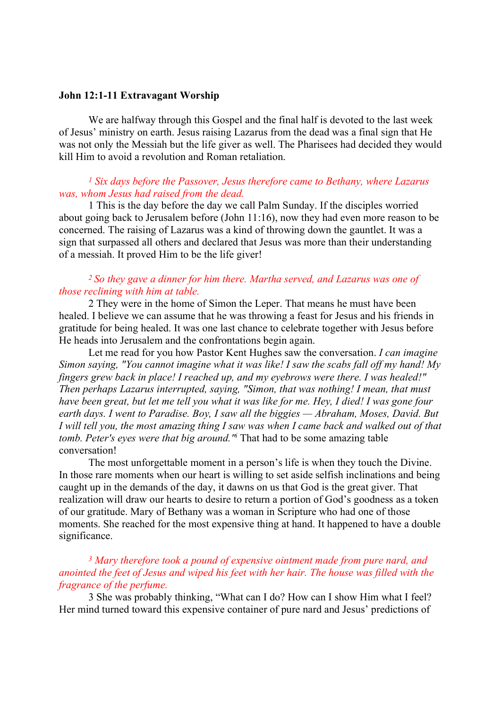#### John 12:1-11 Extravagant Worship

 We are halfway through this Gospel and the final half is devoted to the last week of Jesus' ministry on earth. Jesus raising Lazarus from the dead was a final sign that He was not only the Messiah but the life giver as well. The Pharisees had decided they would kill Him to avoid a revolution and Roman retaliation.

### $<sup>1</sup>$  Six days before the Passover, Jesus therefore came to Bethany, where Lazarus</sup> was, whom Jesus had raised from the dead.

1 This is the day before the day we call Palm Sunday. If the disciples worried about going back to Jerusalem before (John 11:16), now they had even more reason to be concerned. The raising of Lazarus was a kind of throwing down the gauntlet. It was a sign that surpassed all others and declared that Jesus was more than their understanding of a messiah. It proved Him to be the life giver!

### <sup>2</sup> So they gave a dinner for him there. Martha served, and Lazarus was one of those reclining with him at table.

2 They were in the home of Simon the Leper. That means he must have been healed. I believe we can assume that he was throwing a feast for Jesus and his friends in gratitude for being healed. It was one last chance to celebrate together with Jesus before He heads into Jerusalem and the confrontations begin again.

Let me read for you how Pastor Kent Hughes saw the conversation. I can imagine Simon saying, "You cannot imagine what it was like! I saw the scabs fall off my hand! My fingers grew back in place! I reached up, and my eyebrows were there. I was healed!" Then perhaps Lazarus interrupted, saying, "Simon, that was nothing! I mean, that must have been great, but let me tell you what it was like for me. Hey, I died! I was gone four earth days. I went to Paradise. Boy, I saw all the biggies — Abraham, Moses, David. But I will tell you, the most amazing thing I saw was when I came back and walked out of that tomb. Peter's eyes were that big around." That had to be some amazing table conversation!

 The most unforgettable moment in a person's life is when they touch the Divine. In those rare moments when our heart is willing to set aside selfish inclinations and being caught up in the demands of the day, it dawns on us that God is the great giver. That realization will draw our hearts to desire to return a portion of God's goodness as a token of our gratitude. Mary of Bethany was a woman in Scripture who had one of those moments. She reached for the most expensive thing at hand. It happened to have a double significance.

## <sup>3</sup> Mary therefore took a pound of expensive ointment made from pure nard, and anointed the feet of Jesus and wiped his feet with her hair. The house was filled with the fragrance of the perfume.

3 She was probably thinking, "What can I do? How can I show Him what I feel? Her mind turned toward this expensive container of pure nard and Jesus' predictions of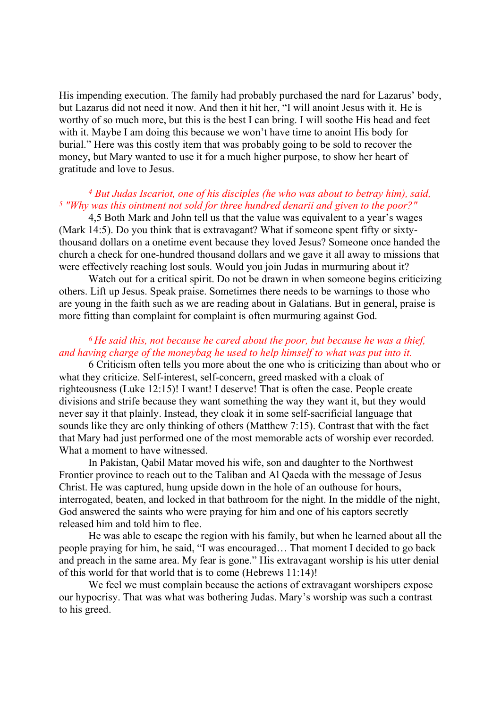His impending execution. The family had probably purchased the nard for Lazarus' body, but Lazarus did not need it now. And then it hit her, "I will anoint Jesus with it. He is worthy of so much more, but this is the best I can bring. I will soothe His head and feet with it. Maybe I am doing this because we won't have time to anoint His body for burial." Here was this costly item that was probably going to be sold to recover the money, but Mary wanted to use it for a much higher purpose, to show her heart of gratitude and love to Jesus.

# <sup>4</sup> But Judas Iscariot, one of his disciples (he who was about to betray him), said, <sup>5</sup> "Why was this ointment not sold for three hundred denarii and given to the poor?"

4,5 Both Mark and John tell us that the value was equivalent to a year's wages (Mark 14:5). Do you think that is extravagant? What if someone spent fifty or sixtythousand dollars on a onetime event because they loved Jesus? Someone once handed the church a check for one-hundred thousand dollars and we gave it all away to missions that were effectively reaching lost souls. Would you join Judas in murmuring about it?

 Watch out for a critical spirit. Do not be drawn in when someone begins criticizing others. Lift up Jesus. Speak praise. Sometimes there needs to be warnings to those who are young in the faith such as we are reading about in Galatians. But in general, praise is more fitting than complaint for complaint is often murmuring against God.

# $6$  He said this, not because he cared about the poor, but because he was a thief, and having charge of the moneybag he used to help himself to what was put into it.

6 Criticism often tells you more about the one who is criticizing than about who or what they criticize. Self-interest, self-concern, greed masked with a cloak of righteousness (Luke 12:15)! I want! I deserve! That is often the case. People create divisions and strife because they want something the way they want it, but they would never say it that plainly. Instead, they cloak it in some self-sacrificial language that sounds like they are only thinking of others (Matthew 7:15). Contrast that with the fact that Mary had just performed one of the most memorable acts of worship ever recorded. What a moment to have witnessed.

 In Pakistan, Qabil Matar moved his wife, son and daughter to the Northwest Frontier province to reach out to the Taliban and Al Qaeda with the message of Jesus Christ. He was captured, hung upside down in the hole of an outhouse for hours, interrogated, beaten, and locked in that bathroom for the night. In the middle of the night, God answered the saints who were praying for him and one of his captors secretly released him and told him to flee.

He was able to escape the region with his family, but when he learned about all the people praying for him, he said, "I was encouraged… That moment I decided to go back and preach in the same area. My fear is gone." His extravagant worship is his utter denial of this world for that world that is to come (Hebrews 11:14)!

We feel we must complain because the actions of extravagant worshipers expose our hypocrisy. That was what was bothering Judas. Mary's worship was such a contrast to his greed.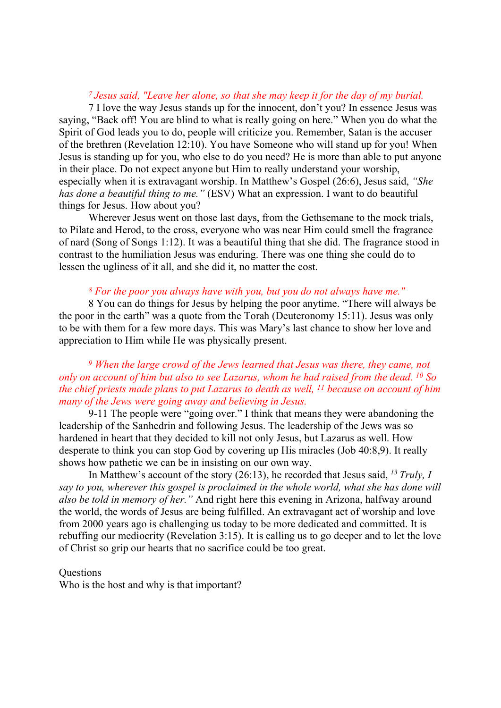#### <sup>7</sup>Jesus said, "Leave her alone, so that she may keep it for the day of my burial.

7 I love the way Jesus stands up for the innocent, don't you? In essence Jesus was saying, "Back off! You are blind to what is really going on here." When you do what the Spirit of God leads you to do, people will criticize you. Remember, Satan is the accuser of the brethren (Revelation 12:10). You have Someone who will stand up for you! When Jesus is standing up for you, who else to do you need? He is more than able to put anyone in their place. Do not expect anyone but Him to really understand your worship, especially when it is extravagant worship. In Matthew's Gospel (26:6), Jesus said, "She has done a beautiful thing to me." (ESV) What an expression. I want to do beautiful things for Jesus. How about you?

 Wherever Jesus went on those last days, from the Gethsemane to the mock trials, to Pilate and Herod, to the cross, everyone who was near Him could smell the fragrance of nard (Song of Songs 1:12). It was a beautiful thing that she did. The fragrance stood in contrast to the humiliation Jesus was enduring. There was one thing she could do to lessen the ugliness of it all, and she did it, no matter the cost.

#### <sup>8</sup> For the poor you always have with you, but you do not always have me."

8 You can do things for Jesus by helping the poor anytime. "There will always be the poor in the earth" was a quote from the Torah (Deuteronomy 15:11). Jesus was only to be with them for a few more days. This was Mary's last chance to show her love and appreciation to Him while He was physically present.

## <sup>9</sup> When the large crowd of the Jews learned that Jesus was there, they came, not only on account of him but also to see Lazarus, whom he had raised from the dead. <sup>10</sup> So the chief priests made plans to put Lazarus to death as well, <sup>11</sup> because on account of him many of the Jews were going away and believing in Jesus.

9-11 The people were "going over." I think that means they were abandoning the leadership of the Sanhedrin and following Jesus. The leadership of the Jews was so hardened in heart that they decided to kill not only Jesus, but Lazarus as well. How desperate to think you can stop God by covering up His miracles (Job 40:8,9). It really shows how pathetic we can be in insisting on our own way.

In Matthew's account of the story (26:13), he recorded that Jesus said, <sup>13</sup> Truly, I say to you, wherever this gospel is proclaimed in the whole world, what she has done will also be told in memory of her." And right here this evening in Arizona, halfway around the world, the words of Jesus are being fulfilled. An extravagant act of worship and love from 2000 years ago is challenging us today to be more dedicated and committed. It is rebuffing our mediocrity (Revelation 3:15). It is calling us to go deeper and to let the love of Christ so grip our hearts that no sacrifice could be too great.

#### **Ouestions**

Who is the host and why is that important?